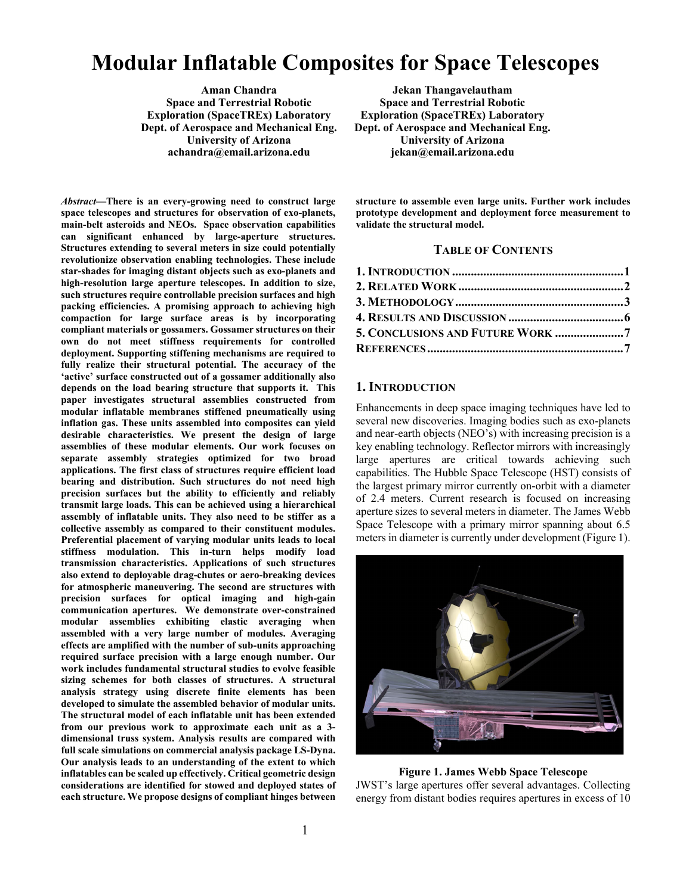# **Modular Inflatable Composites for Space Telescopes**

**Aman Chandra Space and Terrestrial Robotic Exploration (SpaceTREx) Laboratory Dept. of Aerospace and Mechanical Eng. University of Arizona achandra@email.arizona.edu**

*Abstract***—There is an every-growing need to construct large space telescopes and structures for observation of exo-planets, main-belt asteroids and NEOs. Space observation capabilities can significant enhanced by large-aperture structures. Structures extending to several meters in size could potentially revolutionize observation enabling technologies. These include star-shades for imaging distant objects such as exo-planets and high-resolution large aperture telescopes. In addition to size, such structures require controllable precision surfaces and high packing efficiencies. A promising approach to achieving high compaction for large surface areas is by incorporating compliant materials or gossamers. Gossamer structures on their own do not meet stiffness requirements for controlled deployment. Supporting stiffening mechanisms are required to fully realize their structural potential. The accuracy of the 'active' surface constructed out of a gossamer additionally also depends on the load bearing structure that supports it. This paper investigates structural assemblies constructed from modular inflatable membranes stiffened pneumatically using inflation gas. These units assembled into composites can yield desirable characteristics. We present the design of large assemblies of these modular elements. Our work focuses on separate assembly strategies optimized for two broad applications. The first class of structures require efficient load bearing and distribution. Such structures do not need high precision surfaces but the ability to efficiently and reliably transmit large loads. This can be achieved using a hierarchical assembly of inflatable units. They also need to be stiffer as a collective assembly as compared to their constituent modules. Preferential placement of varying modular units leads to local stiffness modulation. This in-turn helps modify load transmission characteristics. Applications of such structures also extend to deployable drag-chutes or aero-breaking devices for atmospheric maneuvering. The second are structures with precision surfaces for optical imaging and high-gain communication apertures. We demonstrate over-constrained modular assemblies exhibiting elastic averaging when assembled with a very large number of modules. Averaging effects are amplified with the number of sub-units approaching required surface precision with a large enough number. Our work includes fundamental structural studies to evolve feasible sizing schemes for both classes of structures. A structural analysis strategy using discrete finite elements has been developed to simulate the assembled behavior of modular units. The structural model of each inflatable unit has been extended from our previous work to approximate each unit as a 3 dimensional truss system. Analysis results are compared with full scale simulations on commercial analysis package LS-Dyna. Our analysis leads to an understanding of the extent to which inflatables can be scaled up effectively. Critical geometric design considerations are identified for stowed and deployed states of each structure. We propose designs of compliant hinges between** 

**Jekan Thangavelautham Space and Terrestrial Robotic Exploration (SpaceTREx) Laboratory Dept. of Aerospace and Mechanical Eng. University of Arizona jekan@email.arizona.edu**

**structure to assemble even large units. Further work includes prototype development and deployment force measurement to validate the structural model.** 

## **TABLE OF CONTENTS**

| 5. CONCLUSIONS AND FUTURE WORK 7 |  |
|----------------------------------|--|
|                                  |  |

## <span id="page-0-0"></span>**1. INTRODUCTION**

Enhancements in deep space imaging techniques have led to several new discoveries. Imaging bodies such as exo-planets and near-earth objects (NEO's) with increasing precision is a key enabling technology. Reflector mirrors with increasingly large apertures are critical towards achieving such capabilities. The Hubble Space Telescope (HST) consists of the largest primary mirror currently on-orbit with a diameter of 2.4 meters. Current research is focused on increasing aperture sizes to several meters in diameter. The James Webb Space Telescope with a primary mirror spanning about 6.5 meters in diameter is currently under development (Figure 1).



#### **Figure 1. James Webb Space Telescope**

JWST's large apertures offer several advantages. Collecting energy from distant bodies requires apertures in excess of 10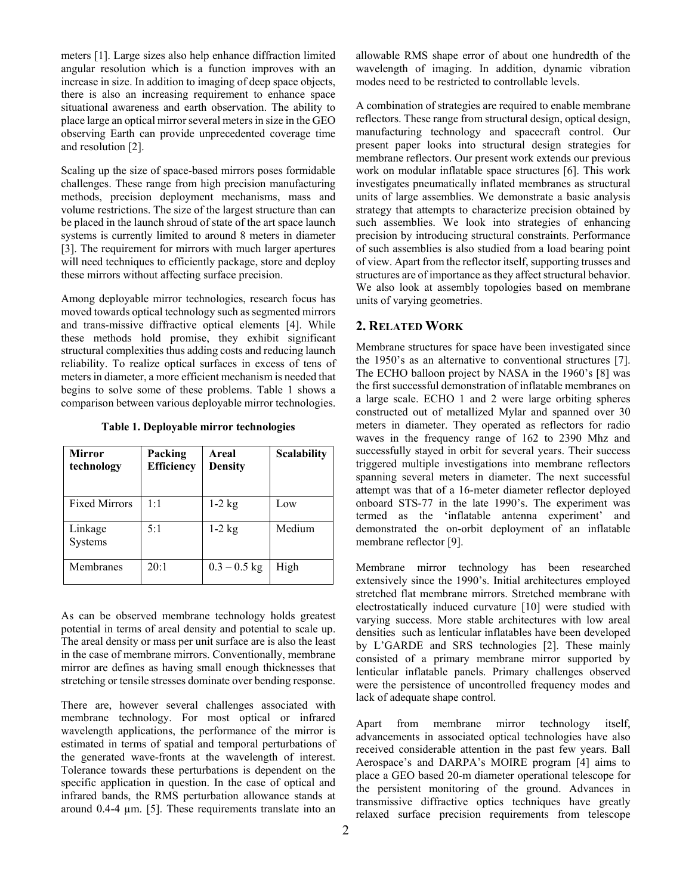meters [1]. Large sizes also help enhance diffraction limited angular resolution which is a function improves with an increase in size. In addition to imaging of deep space objects, there is also an increasing requirement to enhance space situational awareness and earth observation. The ability to place large an optical mirror several meters in size in the GEO observing Earth can provide unprecedented coverage time and resolution [2].

Scaling up the size of space-based mirrors poses formidable challenges. These range from high precision manufacturing methods, precision deployment mechanisms, mass and volume restrictions. The size of the largest structure than can be placed in the launch shroud of state of the art space launch systems is currently limited to around 8 meters in diameter [3]. The requirement for mirrors with much larger apertures will need techniques to efficiently package, store and deploy these mirrors without affecting surface precision.

Among deployable mirror technologies, research focus has moved towards optical technology such as segmented mirrors and trans-missive diffractive optical elements [4]. While these methods hold promise, they exhibit significant structural complexities thus adding costs and reducing launch reliability. To realize optical surfaces in excess of tens of meters in diameter, a more efficient mechanism is needed that begins to solve some of these problems. Table 1 shows a comparison between various deployable mirror technologies.

**Table 1. Deployable mirror technologies**

| <b>Mirror</b><br>technology | Packing<br>Efficiency | Areal<br><b>Density</b> | <b>Scalability</b> |
|-----------------------------|-----------------------|-------------------------|--------------------|
| <b>Fixed Mirrors</b>        | 1:1                   | $1-2$ kg                | Low                |
| Linkage<br>Systems          | 5:1                   | $1-2$ kg                | Medium             |
| Membranes                   | 20:1                  | $0.3 - 0.5$ kg          | High               |

As can be observed membrane technology holds greatest potential in terms of areal density and potential to scale up. The areal density or mass per unit surface are is also the least in the case of membrane mirrors. Conventionally, membrane mirror are defines as having small enough thicknesses that stretching or tensile stresses dominate over bending response.

There are, however several challenges associated with membrane technology. For most optical or infrared wavelength applications, the performance of the mirror is estimated in terms of spatial and temporal perturbations of the generated wave-fronts at the wavelength of interest. Tolerance towards these perturbations is dependent on the specific application in question. In the case of optical and infrared bands, the RMS perturbation allowance stands at around 0.4-4 µm. [5]. These requirements translate into an

allowable RMS shape error of about one hundredth of the wavelength of imaging. In addition, dynamic vibration modes need to be restricted to controllable levels.

A combination of strategies are required to enable membrane reflectors. These range from structural design, optical design, manufacturing technology and spacecraft control. Our present paper looks into structural design strategies for membrane reflectors. Our present work extends our previous work on modular inflatable space structures [6]. This work investigates pneumatically inflated membranes as structural units of large assemblies. We demonstrate a basic analysis strategy that attempts to characterize precision obtained by such assemblies. We look into strategies of enhancing precision by introducing structural constraints. Performance of such assemblies is also studied from a load bearing point of view. Apart from the reflector itself, supporting trusses and structures are of importance as they affect structural behavior. We also look at assembly topologies based on membrane units of varying geometries.

## <span id="page-1-0"></span>**2. RELATED WORK**

Membrane structures for space have been investigated since the 1950's as an alternative to conventional structures [7]. The ECHO balloon project by NASA in the 1960's [8] was the first successful demonstration of inflatable membranes on a large scale. ECHO 1 and 2 were large orbiting spheres constructed out of metallized Mylar and spanned over 30 meters in diameter. They operated as reflectors for radio waves in the frequency range of 162 to 2390 Mhz and successfully stayed in orbit for several years. Their success triggered multiple investigations into membrane reflectors spanning several meters in diameter. The next successful attempt was that of a 16-meter diameter reflector deployed onboard STS-77 in the late 1990's. The experiment was termed as the 'inflatable antenna experiment' and demonstrated the on-orbit deployment of an inflatable membrane reflector [9].

Membrane mirror technology has been researched extensively since the 1990's. Initial architectures employed stretched flat membrane mirrors. Stretched membrane with electrostatically induced curvature [10] were studied with varying success. More stable architectures with low areal densities such as lenticular inflatables have been developed by L'GARDE and SRS technologies [2]. These mainly consisted of a primary membrane mirror supported by lenticular inflatable panels. Primary challenges observed were the persistence of uncontrolled frequency modes and lack of adequate shape control.

Apart from membrane mirror technology itself, advancements in associated optical technologies have also received considerable attention in the past few years. Ball Aerospace's and DARPA's MOIRE program [4] aims to place a GEO based 20-m diameter operational telescope for the persistent monitoring of the ground. Advances in transmissive diffractive optics techniques have greatly relaxed surface precision requirements from telescope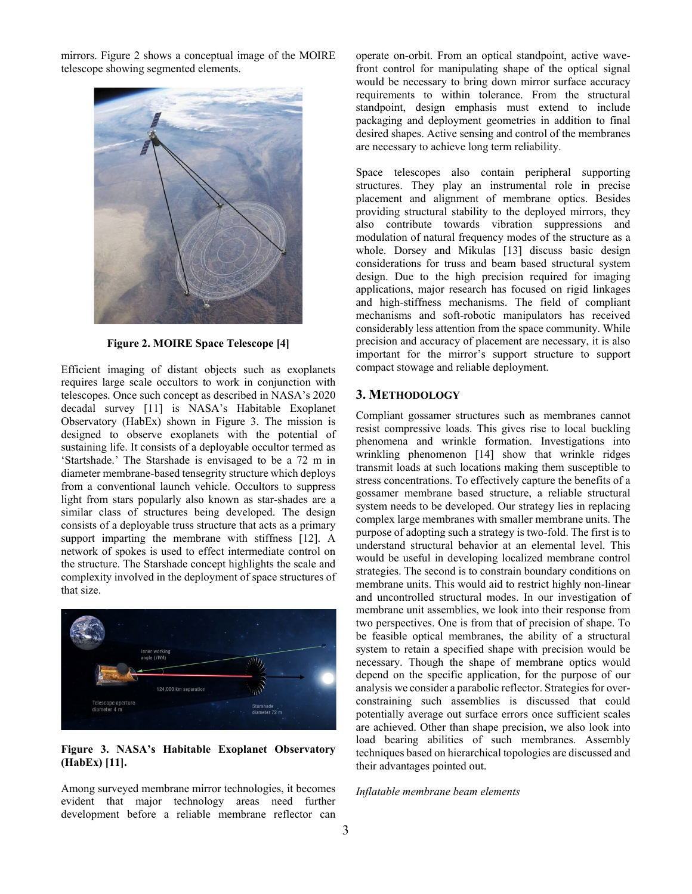mirrors. Figure 2 shows a conceptual image of the MOIRE telescope showing segmented elements.



**Figure 2. MOIRE Space Telescope [4]**

Efficient imaging of distant objects such as exoplanets requires large scale occultors to work in conjunction with telescopes. Once such concept as described in NASA's 2020 decadal survey [11] is NASA's Habitable Exoplanet Observatory (HabEx) shown in Figure 3. The mission is designed to observe exoplanets with the potential of sustaining life. It consists of a deployable occultor termed as 'Startshade.' The Starshade is envisaged to be a 72 m in diameter membrane-based tensegrity structure which deploys from a conventional launch vehicle. Occultors to suppress light from stars popularly also known as star-shades are a similar class of structures being developed. The design consists of a deployable truss structure that acts as a primary support imparting the membrane with stiffness [12]. A network of spokes is used to effect intermediate control on the structure. The Starshade concept highlights the scale and complexity involved in the deployment of space structures of that size.



## **Figure 3. NASA's Habitable Exoplanet Observatory (HabEx) [11].**

Among surveyed membrane mirror technologies, it becomes evident that major technology areas need further development before a reliable membrane reflector can

operate on-orbit. From an optical standpoint, active wavefront control for manipulating shape of the optical signal would be necessary to bring down mirror surface accuracy requirements to within tolerance. From the structural standpoint, design emphasis must extend to include packaging and deployment geometries in addition to final desired shapes. Active sensing and control of the membranes are necessary to achieve long term reliability.

Space telescopes also contain peripheral supporting structures. They play an instrumental role in precise placement and alignment of membrane optics. Besides providing structural stability to the deployed mirrors, they also contribute towards vibration suppressions and modulation of natural frequency modes of the structure as a whole. Dorsey and Mikulas [13] discuss basic design considerations for truss and beam based structural system design. Due to the high precision required for imaging applications, major research has focused on rigid linkages and high-stiffness mechanisms. The field of compliant mechanisms and soft-robotic manipulators has received considerably less attention from the space community. While precision and accuracy of placement are necessary, it is also important for the mirror's support structure to support compact stowage and reliable deployment.

## <span id="page-2-0"></span>**3. METHODOLOGY**

Compliant gossamer structures such as membranes cannot resist compressive loads. This gives rise to local buckling phenomena and wrinkle formation. Investigations into wrinkling phenomenon [14] show that wrinkle ridges transmit loads at such locations making them susceptible to stress concentrations. To effectively capture the benefits of a gossamer membrane based structure, a reliable structural system needs to be developed. Our strategy lies in replacing complex large membranes with smaller membrane units. The purpose of adopting such a strategy is two-fold. The first is to understand structural behavior at an elemental level. This would be useful in developing localized membrane control strategies. The second is to constrain boundary conditions on membrane units. This would aid to restrict highly non-linear and uncontrolled structural modes. In our investigation of membrane unit assemblies, we look into their response from two perspectives. One is from that of precision of shape. To be feasible optical membranes, the ability of a structural system to retain a specified shape with precision would be necessary. Though the shape of membrane optics would depend on the specific application, for the purpose of our analysis we consider a parabolic reflector. Strategies for overconstraining such assemblies is discussed that could potentially average out surface errors once sufficient scales are achieved. Other than shape precision, we also look into load bearing abilities of such membranes. Assembly techniques based on hierarchical topologies are discussed and their advantages pointed out.

#### *Inflatable membrane beam elements*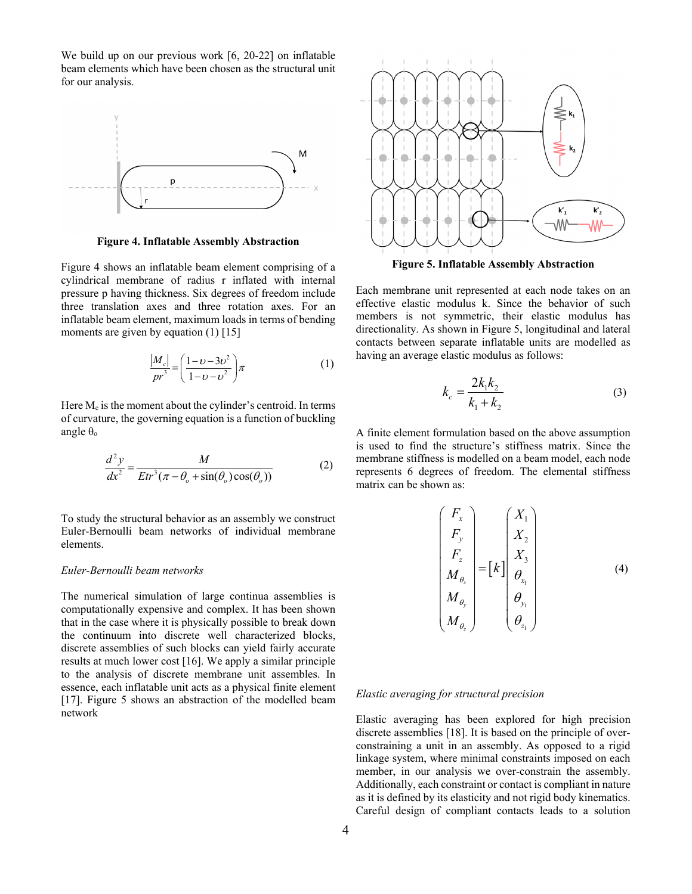We build up on our previous work [6, 20-22] on inflatable beam elements which have been chosen as the structural unit for our analysis.



**Figure 4. Inflatable Assembly Abstraction**

Figure 4 shows an inflatable beam element comprising of a cylindrical membrane of radius r inflated with internal pressure p having thickness. Six degrees of freedom include three translation axes and three rotation axes. For an inflatable beam element, maximum loads in terms of bending moments are given by equation (1) [15]

$$
\frac{|M_c|}{pr^3} = \left(\frac{1 - \nu - 3\nu^2}{1 - \nu - \nu^2}\right)\pi\tag{1}
$$

Here  $M_c$  is the moment about the cylinder's centroid. In terms of curvature, the governing equation is a function of buckling angle  $θ_0$ 

$$
\frac{d^2y}{dx^2} = \frac{M}{Etr^3(\pi - \theta_o + \sin(\theta_o)\cos(\theta_o))}
$$
(2)

To study the structural behavior as an assembly we construct Euler-Bernoulli beam networks of individual membrane elements.

#### *Euler-Bernoulli beam networks*

The numerical simulation of large continua assemblies is computationally expensive and complex. It has been shown that in the case where it is physically possible to break down the continuum into discrete well characterized blocks, discrete assemblies of such blocks can yield fairly accurate results at much lower cost [16]. We apply a similar principle to the analysis of discrete membrane unit assembles. In essence, each inflatable unit acts as a physical finite element [17]. Figure 5 shows an abstraction of the modelled beam network



**Figure 5. Inflatable Assembly Abstraction**

Each membrane unit represented at each node takes on an effective elastic modulus k. Since the behavior of such members is not symmetric, their elastic modulus has directionality. As shown in Figure 5, longitudinal and lateral contacts between separate inflatable units are modelled as having an average elastic modulus as follows:

$$
k_c = \frac{2k_1k_2}{k_1 + k_2} \tag{3}
$$

A finite element formulation based on the above assumption is used to find the structure's stiffness matrix. Since the membrane stiffness is modelled on a beam model, each node represents 6 degrees of freedom. The elemental stiffness matrix can be shown as:

$$
\begin{pmatrix}\nF_x \\
F_y \\
F_z \\
M_{\theta_x} \\
M_{\theta_y} \\
M_{\theta_z}\n\end{pmatrix} = [k] \begin{pmatrix}\nX_1 \\
X_2 \\
X_3 \\
\theta_{x_1} \\
\theta_{y_1} \\
\theta_{z_1}\n\end{pmatrix}
$$
\n(4)

#### *Elastic averaging for structural precision*

Elastic averaging has been explored for high precision discrete assemblies [18]. It is based on the principle of overconstraining a unit in an assembly. As opposed to a rigid linkage system, where minimal constraints imposed on each member, in our analysis we over-constrain the assembly. Additionally, each constraint or contact is compliant in nature as it is defined by its elasticity and not rigid body kinematics. Careful design of compliant contacts leads to a solution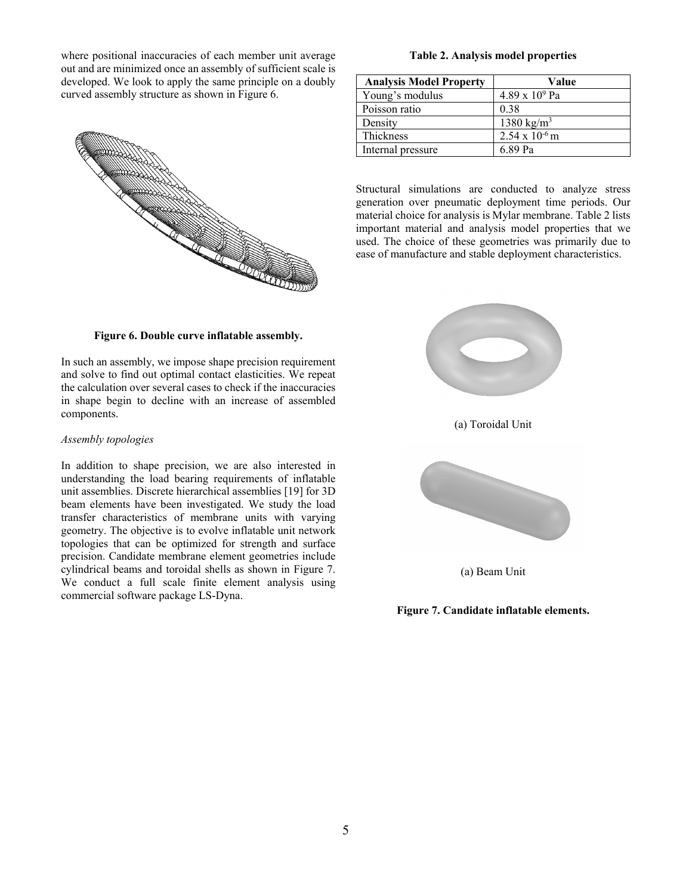where positional inaccuracies of each member unit average out and are minimized once an assembly of sufficient scale is developed. We look to apply the same principle on a doubly curved assembly structure as shown in Figure 6.



#### **Figure 6. Double curve inflatable assembly.**

In such an assembly, we impose shape precision requirement and solve to find out optimal contact elasticities. We repeat the calculation over several cases to check if the inaccuracies in shape begin to decline with an increase of assembled components.

#### *Assembly topologies*

In addition to shape precision, we are also interested in understanding the load bearing requirements of inflatable unit assemblies. Discrete hierarchical assemblies [19] for 3D beam elements have been investigated. We study the load transfer characteristics of membrane units with varying geometry. The objective is to evolve inflatable unit network topologies that can be optimized for strength and surface precision. Candidate membrane element geometries include cylindrical beams and toroidal shells as shown in Figure 7. We conduct a full scale finite element analysis using commercial software package LS-Dyna.

#### **Table 2. Analysis model properties**

| <b>Analysis Model Property</b> | Value                   |
|--------------------------------|-------------------------|
| Young's modulus                | $4.89 \times 10^{9}$ Pa |
| Poisson ratio                  | 0.38                    |
| Density                        | 1380 kg/m <sup>3</sup>  |
| Thickness                      | $2.54 \times 10^{-6}$ m |
| Internal pressure              | 6.89 Pa                 |

Structural simulations are conducted to analyze stress generation over pneumatic deployment time periods. Our material choice for analysis is Mylar membrane. Table 2 lists important material and analysis model properties that we used. The choice of these geometries was primarily due to ease of manufacture and stable deployment characteristics.



(a) Beam Unit

**Figure 7. Candidate inflatable elements.**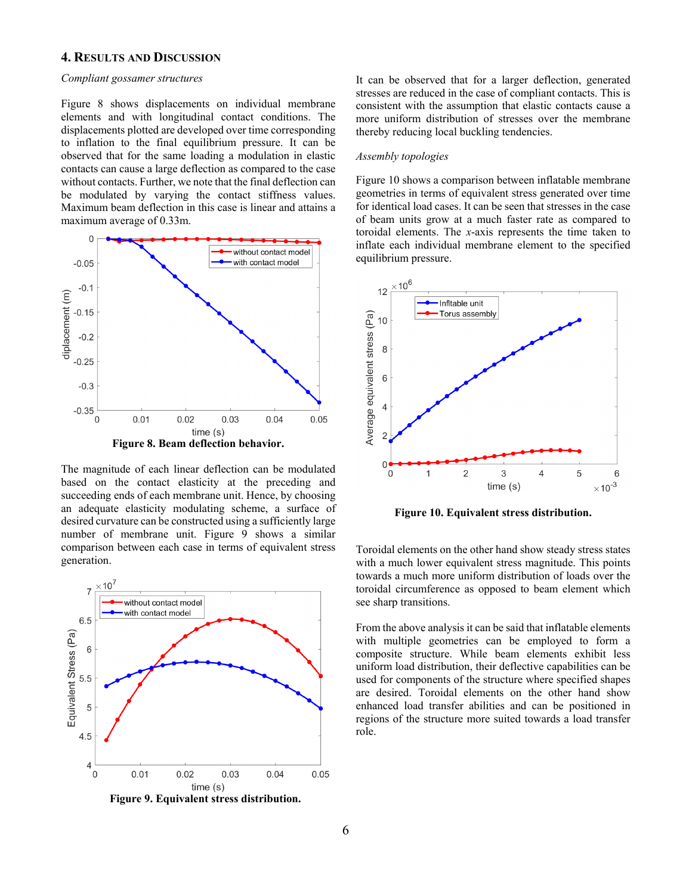## <span id="page-5-0"></span>**4. RESULTS AND DISCUSSION**

#### *Compliant gossamer structures*

Figure 8 shows displacements on individual membrane elements and with longitudinal contact conditions. The displacements plotted are developed over time corresponding to inflation to the final equilibrium pressure. It can be observed that for the same loading a modulation in elastic contacts can cause a large deflection as compared to the case without contacts. Further, we note that the final deflection can be modulated by varying the contact stiffness values. Maximum beam deflection in this case is linear and attains a maximum average of 0.33m.



The magnitude of each linear deflection can be modulated based on the contact elasticity at the preceding and succeeding ends of each membrane unit. Hence, by choosing an adequate elasticity modulating scheme, a surface of desired curvature can be constructed using a sufficiently large number of membrane unit. Figure 9 shows a similar comparison between each case in terms of equivalent stress generation.



 **Figure 9. Equivalent stress distribution.**

It can be observed that for a larger deflection, generated stresses are reduced in the case of compliant contacts. This is consistent with the assumption that elastic contacts cause a more uniform distribution of stresses over the membrane thereby reducing local buckling tendencies.

#### *Assembly topologies*

Figure 10 shows a comparison between inflatable membrane geometries in terms of equivalent stress generated over time for identical load cases. It can be seen that stresses in the case of beam units grow at a much faster rate as compared to toroidal elements. The *x*-axis represents the time taken to inflate each individual membrane element to the specified equilibrium pressure.



**Figure 10. Equivalent stress distribution.**

Toroidal elements on the other hand show steady stress states with a much lower equivalent stress magnitude. This points towards a much more uniform distribution of loads over the toroidal circumference as opposed to beam element which see sharp transitions.

From the above analysis it can be said that inflatable elements with multiple geometries can be employed to form a composite structure. While beam elements exhibit less uniform load distribution, their deflective capabilities can be used for components of the structure where specified shapes are desired. Toroidal elements on the other hand show enhanced load transfer abilities and can be positioned in regions of the structure more suited towards a load transfer role.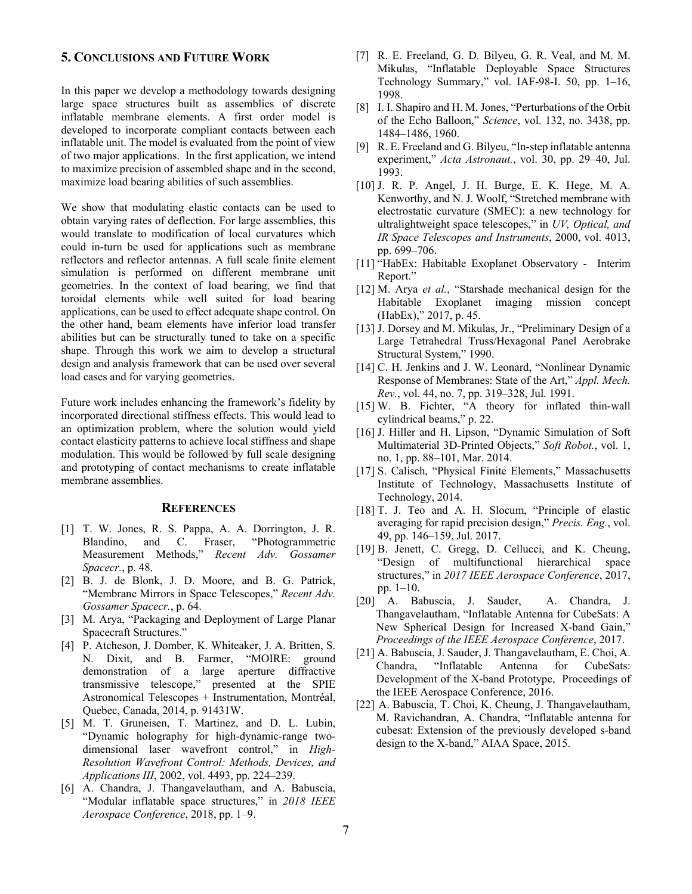## <span id="page-6-0"></span>**5. CONCLUSIONS AND FUTURE WORK**

In this paper we develop a methodology towards designing large space structures built as assemblies of discrete inflatable membrane elements. A first order model is developed to incorporate compliant contacts between each inflatable unit. The model is evaluated from the point of view of two major applications. In the first application, we intend to maximize precision of assembled shape and in the second, maximize load bearing abilities of such assemblies.

We show that modulating elastic contacts can be used to obtain varying rates of deflection. For large assemblies, this would translate to modification of local curvatures which could in-turn be used for applications such as membrane reflectors and reflector antennas. A full scale finite element simulation is performed on different membrane unit geometries. In the context of load bearing, we find that toroidal elements while well suited for load bearing applications, can be used to effect adequate shape control. On the other hand, beam elements have inferior load transfer abilities but can be structurally tuned to take on a specific shape. Through this work we aim to develop a structural design and analysis framework that can be used over several load cases and for varying geometries.

Future work includes enhancing the framework's fidelity by incorporated directional stiffness effects. This would lead to an optimization problem, where the solution would yield contact elasticity patterns to achieve local stiffness and shape modulation. This would be followed by full scale designing and prototyping of contact mechanisms to create inflatable membrane assemblies.

#### <span id="page-6-1"></span>**REFERENCES**

- [1] T. W. Jones, R. S. Pappa, A. A. Dorrington, J. R. Blandino, and C. Fraser, "Photogrammetric Measurement Methods," *Recent Adv. Gossamer Spacecr.*, p. 48.
- [2] B. J. de Blonk, J. D. Moore, and B. G. Patrick, "Membrane Mirrors in Space Telescopes," *Recent Adv. Gossamer Spacecr.*, p. 64.
- [3] M. Arya, "Packaging and Deployment of Large Planar Spacecraft Structures."
- [4] P. Atcheson, J. Domber, K. Whiteaker, J. A. Britten, S. N. Dixit, and B. Farmer, "MOIRE: ground demonstration of a large aperture diffractive transmissive telescope," presented at the SPIE Astronomical Telescopes + Instrumentation, Montréal, Quebec, Canada, 2014, p. 91431W.
- [5] M. T. Gruneisen, T. Martinez, and D. L. Lubin, "Dynamic holography for high-dynamic-range twodimensional laser wavefront control," in *High-Resolution Wavefront Control: Methods, Devices, and Applications III*, 2002, vol. 4493, pp. 224–239.
- [6] A. Chandra, J. Thangavelautham, and A. Babuscia, "Modular inflatable space structures," in *2018 IEEE Aerospace Conference*, 2018, pp. 1–9.
- [7] R. E. Freeland, G. D. Bilyeu, G. R. Veal, and M. M. Mikulas, "Inflatable Deployable Space Structures Technology Summary," vol. IAF-98-I. 50, pp. 1–16, 1998.
- [8] I. I. Shapiro and H. M. Jones, "Perturbations of the Orbit of the Echo Balloon," *Science*, vol. 132, no. 3438, pp. 1484–1486, 1960.
- [9] R. E. Freeland and G. Bilyeu, "In-step inflatable antenna experiment," *Acta Astronaut.*, vol. 30, pp. 29–40, Jul. 1993.
- [10] J. R. P. Angel, J. H. Burge, E. K. Hege, M. A. Kenworthy, and N. J. Woolf, "Stretched membrane with electrostatic curvature (SMEC): a new technology for ultralightweight space telescopes," in *UV, Optical, and IR Space Telescopes and Instruments*, 2000, vol. 4013, pp. 699–706.
- [11] "HabEx: Habitable Exoplanet Observatory Interim Report."
- [12] M. Arya *et al.*, "Starshade mechanical design for the Habitable Exoplanet imaging mission concept (HabEx)," 2017, p. 45.
- [13] J. Dorsey and M. Mikulas, Jr., "Preliminary Design of a Large Tetrahedral Truss/Hexagonal Panel Aerobrake Structural System," 1990.
- [14] C. H. Jenkins and J. W. Leonard, "Nonlinear Dynamic Response of Membranes: State of the Art," *Appl. Mech. Rev.*, vol. 44, no. 7, pp. 319–328, Jul. 1991.
- [15] W. B. Fichter, "A theory for inflated thin-wall cylindrical beams," p. 22.
- [16] J. Hiller and H. Lipson, "Dynamic Simulation of Soft Multimaterial 3D-Printed Objects," *Soft Robot.*, vol. 1, no. 1, pp. 88–101, Mar. 2014.
- [17] S. Calisch, "Physical Finite Elements," Massachusetts Institute of Technology, Massachusetts Institute of Technology, 2014.
- [18] T. J. Teo and A. H. Slocum, "Principle of elastic averaging for rapid precision design," *Precis. Eng.*, vol. 49, pp. 146–159, Jul. 2017.
- [19] B. Jenett, C. Gregg, D. Cellucci, and K. Cheung, "Design of multifunctional hierarchical space structures," in *2017 IEEE Aerospace Conference*, 2017, pp. 1–10.
- [20] A. Babuscia, J. Sauder, A. Chandra, J. Thangavelautham, "Inflatable Antenna for CubeSats: A New Spherical Design for Increased X-band Gain," *Proceedings of the IEEE Aerospace Conference*, 2017.
- [21] A. Babuscia, J. Sauder, J. Thangavelautham, E. Choi, A. Chandra, "Inflatable Antenna for CubeSats: Development of the X-band Prototype, Proceedings of the IEEE Aerospace Conference, 2016.
- [22] A. Babuscia, T. Choi, K. Cheung, J. Thangavelautham, M. Ravichandran, A. Chandra, "Inflatable antenna for cubesat: Extension of the previously developed s-band design to the X-band," AIAA Space, 2015.